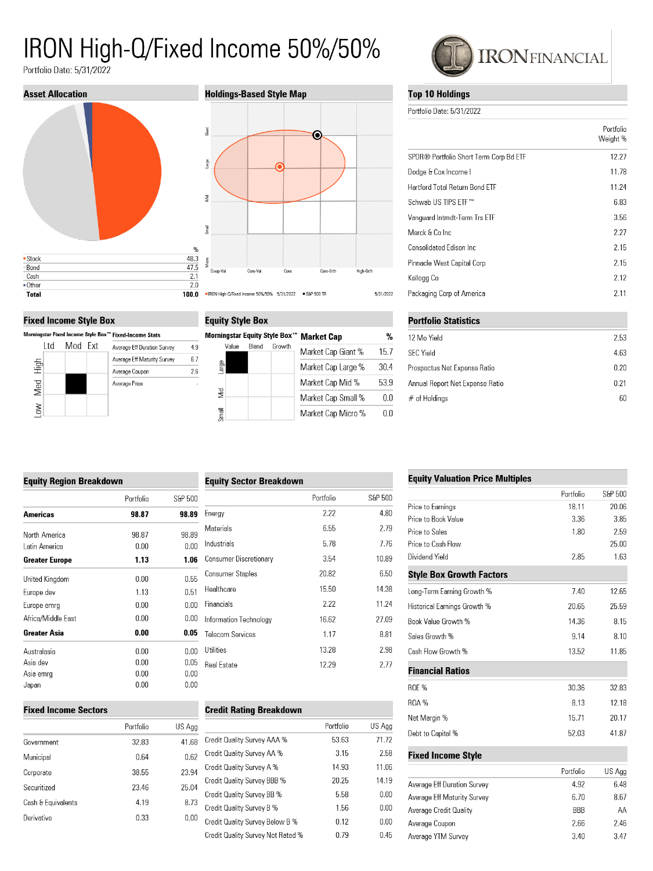# IRON High-Q/Fixed Income 50%/50%

 $4.9$ 

 $6.7$ 

 $2.6\,$ 

Portfolio Date: 5/31/2022



#### **Fixed Income Style Box**

Morningstar Fixed Income Style Box™ Fixed-Income Stats





| <b>Equity Style Box</b>       |                    |      |
|-------------------------------|--------------------|------|
| Morningstar Equity Style Box™ | <b>Market Cap</b>  | %    |
| Rlend<br>Value<br>Growth      | Market Cap Giant % | 15.7 |
| arge                          | Market Cap Large % | 30.4 |
|                               | Market Cap Mid %   | 53.9 |
| š                             | Market Cap Small % | 00   |
| Small                         | Market Cap Micro % | 00   |

|  | <b>CC</b> IRONFINANCIAL |
|--|-------------------------|
|--|-------------------------|

#### **Top 10 Holdings**

Portfolio Date: 5/31/2022

|                                        | Portfolio<br>Weight % |
|----------------------------------------|-----------------------|
| SPDR® Portfolio Short Term Corp Bd ETF | 12.27                 |
| Dodge & Cox Income I                   | 11.78                 |
| Hartford Total Return Bond ETF         | 11.24                 |
| Schwab US TIPS FTF™                    | 6.83                  |
| Vanguard Intmdt-Term Trs ETF           | 3.56                  |
| Merck & Co Inc.                        | 2.27                  |
| Consolidated Edison Inc.               | 2.15                  |
| Pinnacle West Capital Corp             | 2.15                  |
| Kellogg Co                             | 2.12                  |
| Packaging Corp of America              | 2.11                  |
| <b>DEALERS OF LANG</b>                 |                       |

| PORTIONO STATISTICS             |      |
|---------------------------------|------|
| 12 Mo Yield                     | 2.53 |
| <b>SFC Yield</b>                | 4.63 |
| Prospectus Net Expense Ratio    | 0.20 |
| Annual Report Net Expense Ratio | 0.21 |
| $#$ of Holdings                 | 60   |
|                                 |      |

## **Fauity Region Breakdown**

| Lyuny ncyion Drcakaown |           |         |  |
|------------------------|-----------|---------|--|
|                        | Portfolio | S&P 500 |  |
| Americas               | 98.87     | 98.89   |  |
| North America          | 98.87     | 98.89   |  |
| l atin America         | 0.00      | 0.00    |  |
| Greater Europe         | 1.13      | 1.06    |  |
| United Kingdom         | 0.00      | 0.55    |  |
| Europe dev             | 1.13      | 0.51    |  |
| Europe emrg            | 0.00      | 0.00    |  |
| Africa/Middle East     | 0.00      | 0.00    |  |
| Greater Asia           | 0.00      | 0.05    |  |
| Australasia            | 0.00      | 0.00    |  |
| Asia dev               | 0.00      | 0.05    |  |
| Asia emrg              | 0.00      | 0.00    |  |
| Japan                  | 0.00      | 0.00    |  |

#### S&P 500 Portfolio Energy 2.22 4.80 Materials 6.55 2.79 Industrials 5.78 7.76 Consumer Discretionary 3.54 10.89 **Consumer Staples** 20.82 6.50 Healthcare 15.50 14.38 Financials 2.22 11.24 Information Technology 16.62 27.09 Telecom Services 8.81 1.17 Utilities 2.98 13.28 12.29 Real Estate 2.77

**Equity Sector Breakdown** 

#### **Fixed Income Sectors**

|                    | Portfolio | US Agg |
|--------------------|-----------|--------|
| Government         | 32.83     | 41.68  |
| Municipal          | 0.64      | 0.62   |
| Corporate          | 38.55     | 23.94  |
| Securitized        | 23.46     | 25.04  |
| Cash & Equivalents | 4.19      | 8.73   |
| Derivative         | 0.33      | 0.00   |

| <b>Credit Rating Breakdown</b>    |           |        |
|-----------------------------------|-----------|--------|
|                                   | Portfolio | US Agg |
| Credit Quality Survey AAA %       | 53.63     | 71.72  |
| Credit Quality Survey AA %        | 3.15      | 2.58   |
| Credit Quality Survey A %         | 14.93     | 11.06  |
| Credit Quality Survey BBB %       | 20.25     | 14.19  |
| Credit Quality Survey BB %        | 5.58      | 0.00   |
| Credit Quality Survey B %         | 1.56      | 0.00   |
| Credit Quality Survey Below B %   | 0.12      | 0.00   |
| Credit Quality Survey Not Rated % | 0.79      | 0.45   |
|                                   |           |        |

#### **Equity Valuation Price Multiples**

|                                 | Portfolio  | S&P 500 |
|---------------------------------|------------|---------|
| Price to Earnings               | 18.11      | 20.06   |
| Price to Book Value             | 3.36       | 3.85    |
| Price to Sales                  | 1.80       | 2.59    |
| Price to Cash Flow              |            | 25.00   |
| Dividend Yield                  | 2.85       | 1.63    |
| <b>Style Box Growth Factors</b> |            |         |
| Long-Term Earning Growth %      | 7.40       | 12.65   |
| Historical Earnings Growth %    | 20.65      | 25.59   |
| Book Value Growth %             | 14.36      | 8.15    |
| Sales Growth %                  | 9.14       | 8.10    |
| Cash Flow Growth %              | 13.52      | 11.85   |
| <b>Financial Ratios</b>         |            |         |
| ROE %                           | 30.36      | 32.83   |
| <b>ROA%</b>                     | 8.13       | 12.18   |
| Net Margin %                    | 15.71      | 20.17   |
| Debt to Capital %               | 52.03      | 41.87   |
| <b>Fixed Income Style</b>       |            |         |
|                                 | Portfolio  | US Agg  |
| Average Eff Duration Survey     | 4.92       | 6.48    |
| Average Eff Maturity Survey     | 6.70       | 8.67    |
| Average Credit Quality          | <b>BBB</b> | AΑ      |
| Average Coupon                  | 2.66       | 2.46    |
| Average YTM Survey              | 3.40       | 3.47    |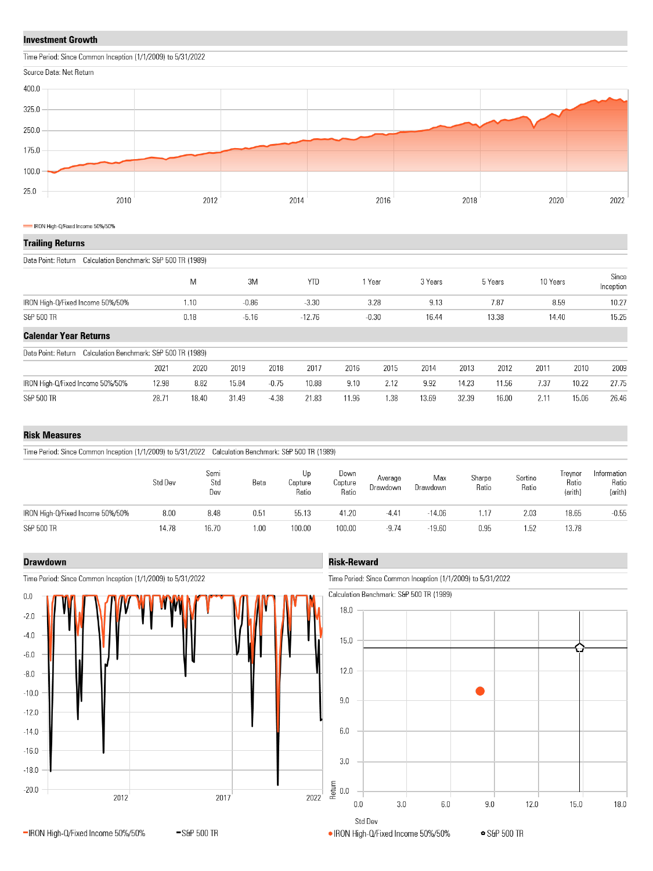#### **Investment Growth**

Time Period: Since Common Inception (1/1/2009) to 5/31/2022



#### IRON High-Q/Fixed Income 50%/50%

|  | Trailing Returns |
|--|------------------|
|  |                  |

Data Point: Return Calculation Benchmark: S&P 500 TR (1989)

|                                                                |       | M     | 3M      |         | <b>YTD</b> |       | Year    | 3 Years |       | 5 Years | 10 Years |       | Since<br>Inception |
|----------------------------------------------------------------|-------|-------|---------|---------|------------|-------|---------|---------|-------|---------|----------|-------|--------------------|
| IRON High-Q/Fixed Income 50%/50%                               |       | 1.10  | $-0.86$ |         | $-3.30$    |       | 3.28    | 9.13    |       | 7.87    | 8.59     |       | 10.27              |
| S&P 500 TR                                                     |       | 0.18  | $-5.16$ |         | $-12.76$   |       | $-0.30$ | 16.44   |       | 13.38   | 14.40    |       | 15.25              |
| <b>Calendar Year Returns</b>                                   |       |       |         |         |            |       |         |         |       |         |          |       |                    |
| Calculation Benchmark: S&P 500 TR (1989)<br>Data Point: Return |       |       |         |         |            |       |         |         |       |         |          |       |                    |
|                                                                | 2021  | 2020  | 2019    | 2018    | 2017       | 2016  | 2015    | 2014    | 2013  | 2012    | 2011     | 2010  | 2009               |
| IRON High-Q/Fixed Income 50%/50%                               | 12.98 | 8.82  | 15.84   | $-0.75$ | 10.88      | 9.10  | 2.12    | 9.92    | 14.23 | 11.56   | 7.37     | 10.22 | 27.75              |
| S&P 500 TR                                                     | 28.71 | 18.40 | 31.49   | $-4.38$ | 21.83      | 11.96 | 1.38    | 13.69   | 32.39 | 16.00   | 2.11     | 15.06 | 26.46              |

#### **Risk Measures**

Time Period: Since Common Inception (1/1/2009) to 5/31/2022 Calculation Benchmark: S&P 500 TR (1989)

|                                  | Std Dev | Semi<br>Std<br>Dev | Beta | UD<br>Capture<br>Ratio | Down<br>Capture<br>Ratio | Average<br>Drawdown | Max<br>Drawdown | Sharpe<br>Ratio | Sortino<br>Ratio | <b>I</b> revnor<br>Ratio<br>(arith) | Information<br>Ratio<br>(arith) |
|----------------------------------|---------|--------------------|------|------------------------|--------------------------|---------------------|-----------------|-----------------|------------------|-------------------------------------|---------------------------------|
| IRON High-Q/Fixed Income 50%/50% | 8.00    | 8.48               | 0.51 | 55.13                  | 41.20                    | $-4.41$             | $-14.06$        | .17             | 2.03             | 18.65                               | $-0.55$                         |
| S&P 500 TR                       | 14.78   | 16.70              | 1.00 | 100.00                 | 100.00                   | $-9.74$             | $-19.60$        | 0.95            | 1.52             | 13.78                               |                                 |

#### **Drawdown**



-S&P 500 TR

Time Period: Since Common Inception (1/1/2009) to 5/31/2022

-IRON High-Q/Fixed Income 50%/50%

### **Risk-Reward**

Time Period: Since Common Inception (1/1/2009) to 5/31/2022



**•** S&P 500 TR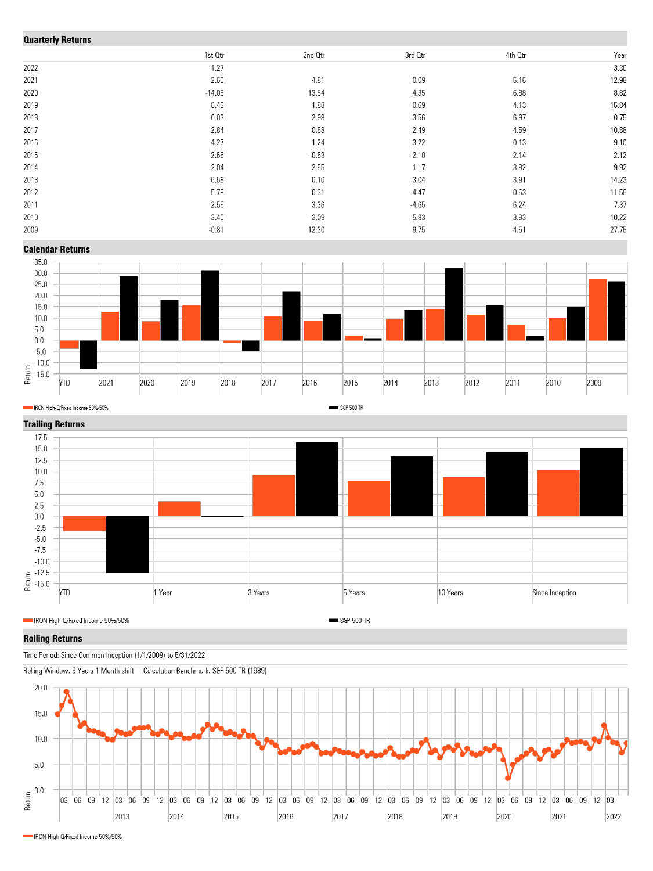## Ouerterly Deturne

| <b>QUATTERY RETURNS</b> |          |         |         |         |         |  |  |  |  |  |
|-------------------------|----------|---------|---------|---------|---------|--|--|--|--|--|
|                         | 1st Otr  | 2nd Otr | 3rd Qtr | 4th Otr | Year    |  |  |  |  |  |
| 2022                    | $-1.27$  |         |         |         | $-3.30$ |  |  |  |  |  |
| 2021                    | 2.60     | 4.81    | $-0.09$ | 5.16    | 12.98   |  |  |  |  |  |
| 2020                    | $-14.06$ | 13.54   | 4.35    | 6.88    | 8.82    |  |  |  |  |  |
| 2019                    | 8.43     | 1.88    | 0.69    | 4.13    | 15.84   |  |  |  |  |  |
| 2018                    | 0.03     | 2.98    | 3.56    | $-6.97$ | $-0.75$ |  |  |  |  |  |
| 2017                    | 2.84     | 0.58    | 2.49    | 4.59    | 10.88   |  |  |  |  |  |
| 2016                    | 4.27     | 1.24    | 3.22    | 0.13    | 9.10    |  |  |  |  |  |
| 2015                    | 2.66     | $-0.53$ | $-2.10$ | 2.14    | 2.12    |  |  |  |  |  |
| 2014                    | 2.04     | 2.55    | 1.17    | 3.82    | 9.92    |  |  |  |  |  |
| 2013                    | 6.58     | 0.10    | 3.04    | 3.91    | 14.23   |  |  |  |  |  |
| 2012                    | 5.79     | 0.31    | 4.47    | 0.63    | 11.56   |  |  |  |  |  |
| 2011                    | 2.55     | 3.36    | $-4.65$ | 6.24    | 7.37    |  |  |  |  |  |
| 2010                    | 3.40     | $-3.09$ | 5.83    | 3.93    | 10.22   |  |  |  |  |  |
| 2009                    | $-0.81$  | 12.30   | 9.75    | 4.51    | 27.75   |  |  |  |  |  |
|                         |          |         |         |         |         |  |  |  |  |  |

**Calendar Returns** 



S&P 500 TR

IRON High-Q/Fixed Income 50%/50%



#### **Rolling Returns**

Time Period: Since Common Inception (1/1/2009) to 5/31/2022

Rolling Window: 3 Years 1 Month shift Calculation Benchmark: S&P 500 TR (1989)



IRON High-Q/Fixed Income 50%/50%